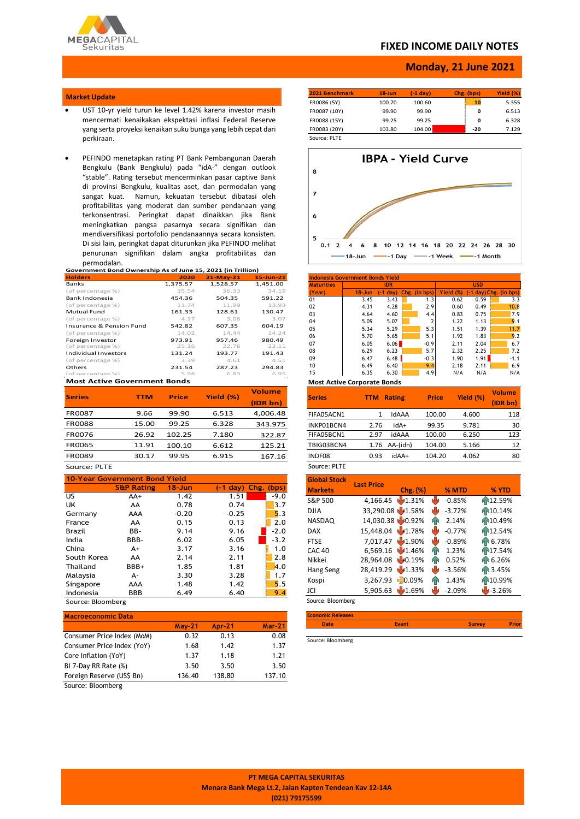

### **FIXED INCOME DAILY NOTES**

### **Monday, 21 June 2021**

#### **Market Update**

- UST 10-yr yield turun ke level 1.42% karena investor masih mencermati kenaikakan ekspektasi inflasi Federal Reserve yang serta proyeksi kenaikan suku bunga yang lebih cepat dari perkiraan.
- PEFINDO menetapkan rating PT Bank Pembangunan Daerah Bengkulu (Bank Bengkulu) pada "idA-" dengan outlook "stable". Rating tersebut mencerminkan pasar captive Bank di provinsi Bengkulu, kualitas aset, dan permodalan yang sangat kuat. Namun, kekuatan tersebut dibatasi oleh profitabilitas yang moderat dan sumber pendanaan yang terkonsentrasi. Peringkat dapat dinaikkan jika Bank meningkatkan pangsa pasarnya secara signifikan dan mendiversifikasi portofolio pendanaannya secara konsisten. Di sisi lain, peringkat dapat diturunkan jika PEFINDO melihat penurunan signifikan dalam angka profitabilitas dan permodalan.

**Government Bond Ownership As of June 15, 2021 (in Trillion) Holders 2020 31-May-21 15-Jun-21 Banks 1,375.57 1,528.57 1,451.00**<br>
(of percentage %) **1,375.57 1,528.57 1,451.00** (of percentage %) 35.54 36.33 34.19 Bank Indonesia<br>
(6 11.74 504.35 (6 11.74 504.35 594.35 )<br>
(6 11.74 11.99 11.74 11.99 (of percentage %) 161.33 128.61 130.47<br>(of percentage %) 161.33 128.61 130.47 (of percentage %)  $4.17$   $3.06$   $3.07$ <br>
Insurance & Pension Fund 542.82 607.35 604.19 Insurance & Pension Fund (of percentage %) 14.02 14.44 14.24 Foreign Investor 973.91 957.46 980.49 (of percentage %) 25.16 22.76 23.11 Individual Investors 131.24 193.77 191.43 (of percentage %)  $3.39$   $4.61$   $4.51$ <br>Others **231.54**  $287.23$   $294.83$ Others 231.54 287.23 294.83  $ln$ f percentage %) 5.98 6.83 6.95

#### **Most Active Government Bonds**

| <b>Series</b> | TTM   | <b>Price</b> | Yield (%) | <b>Volume</b> |
|---------------|-------|--------------|-----------|---------------|
|               |       |              |           | (IDR bn)      |
| <b>FR0087</b> | 9.66  | 99.90        | 6.513     | 4,006.48      |
| <b>FR0088</b> | 15.00 | 99.25        | 6.328     | 343.975       |
| <b>FR0076</b> | 26.92 | 102.25       | 7.180     | 322.87        |
| <b>FR0065</b> | 11.91 | 100.10       | 6.612     | 125.21        |
| <b>FR0089</b> | 30.17 | 99.95        | 6.915     | 167.16        |

# **ENOUGS**<br>Source: PLTE

| <b>10-Year Government Bond Yield</b> |                       |            |                               |        |  |  |  |
|--------------------------------------|-----------------------|------------|-------------------------------|--------|--|--|--|
|                                      | <b>S&amp;P Rating</b> | $18 - Jun$ | $(-1 \text{ day})$ Chg. (bps) |        |  |  |  |
| US.                                  | $AA+$                 | 1.42       | 1.51                          | $-9.0$ |  |  |  |
| UK                                   | AA                    | 0.78       | 0.74                          | 3.7    |  |  |  |
| Germany                              | AAA                   | $-0.20$    | $-0.25$                       | 5.3    |  |  |  |
| France                               | AA                    | 0.15       | 0.13                          | 2.0    |  |  |  |
| Brazil                               | BB-                   | 9.14       | 9.16                          | $-2.0$ |  |  |  |
| India                                | BBB-                  | 6.02       | 6.05                          | $-3.2$ |  |  |  |
| China                                | $A+$                  | 3.17       | 3.16                          | 1.0    |  |  |  |
| South Korea                          | AA                    | 2.14       | 2.11                          | 2.8    |  |  |  |
| Thailand                             | BBB+                  | 1.85       | 1.81                          | 4.0    |  |  |  |
| Malaysia                             | А-                    | 3.30       | 3.28                          | 1.7    |  |  |  |
| Singapore                            | AAA                   | 1.48       | 1.42                          | 5.5    |  |  |  |
| Indonesia                            | BBB                   | 6.49       | 6.40                          | 9.4    |  |  |  |

Source: Bloomberg

| $May-21$ | <b>Apr-21</b> | $Mar-21$ |
|----------|---------------|----------|
| 0.32     | 0.13          | 0.08     |
| 1.68     | 1.42          | 1.37     |
| 1.37     | 1.18          | 1.21     |
| 3.50     | 3.50          | 3.50     |
| 136.40   | 138.80        | 137.10   |
|          |               |          |

Source: Bloomberg

| 2021 Benchmark | $18$ -Jun | $(-1)$ day) | Chg. (bps) | Yield (%) |
|----------------|-----------|-------------|------------|-----------|
| FR0086 (5Y)    | 100.70    | 100.60      | 10         | 5.355     |
| FR0087 (10Y)   | 99.90     | 99.90       | o          | 6.513     |
| FR0088 (15Y)   | 99.25     | 99.25       | o          | 6.328     |
| FR0083 (20Y)   | 103.80    | 104.00      | -20        | 7.129     |
| Source: PLTE   |           |             |            |           |



| Indonesia Government Bonds Yield |            |            |  |               |            |      |                        |  |  |
|----------------------------------|------------|------------|--|---------------|------------|------|------------------------|--|--|
| <b>Maturities</b>                |            | <b>IDR</b> |  |               | <b>USD</b> |      |                        |  |  |
| (Year)                           | $18 - Jun$ | $-1$ day)  |  | Chg. (in bps) | Yield (%)  |      | (-1 day) Chg. (in bps) |  |  |
| 01                               | 3.45       | 3.43       |  | 1.3           | 0.62       | 0.59 | 3.3                    |  |  |
| 02                               | 4.31       | 4.28       |  | 2.9           | 0.60       | 0.49 | 10.8                   |  |  |
| 03                               | 4.64       | 4.60       |  | 4.4           | 0.83       | 0.75 | 7.9                    |  |  |
| 04                               | 5.09       | 5.07       |  |               | 1.22       | 1.13 | 9.1                    |  |  |
| 05                               | 5.34       | 5.29       |  | 5.3           | 1.51       | 1.39 | 11.7                   |  |  |
| 06                               | 5.70       | 5.65       |  | 5.1           | 1.92       | 1.83 | 9.2                    |  |  |
| 07                               | 6.05       | 6.06       |  | $-0.9$        | 2.11       | 2.04 | 6.7                    |  |  |
| 08                               | 6.29       | 6.23       |  | 5.7           | 2.32       | 2.25 | 7.2                    |  |  |
| 09                               | 6.47       | 6.48       |  | $-0.3$        | 1.90       | 1.91 | $-1.1$                 |  |  |
| 10                               | 6.49       | 6.40       |  | 9.4           | 2.18       | 2.11 | 6.9                    |  |  |
| 15                               | 6.35       | 6.30       |  | 4.9           | N/A        | N/A  | N/A                    |  |  |

**Most Active Corporate Bonds** 

| <b>Series</b> | <b>TTM</b> | <b>Rating</b> | <b>Price</b> | Yield (%) | <b>Volume</b><br>(IDR bn) |
|---------------|------------|---------------|--------------|-----------|---------------------------|
| FIFA05ACN1    | 1          | idAAA         | 100.00       | 4.600     | 118                       |
| INKP01BCN4    | 2.76       | idA+          | 99.35        | 9.781     | 30                        |
| FIFA05BCN1    | 2.97       | idAAA         | 100.00       | 6.250     | 123                       |
| TBIG03BCN4    | 1.76       | AA-(idn)      | 104.00       | 5.166     | 12                        |
| INDF08        | 0.93       | +AAbi         | 104.20       | 4.062     | 80                        |

## Source: PLTE

| <b>Global Stock</b> | <b>Last Price</b> |          |    |          |                     |
|---------------------|-------------------|----------|----|----------|---------------------|
| <b>Markets</b>      |                   | Chg. (%) |    | % MTD    | % YTD               |
| S&P 500             | 4,166.45          | 41.31%   | NЫ | $-0.85%$ | 12.59%              |
| <b>DJIA</b>         | 33,290.08 1.58%   |          | NЫ | $-3.72%$ | 10.14%              |
| <b>NASDAQ</b>       | 14,030.38 40.92%  |          | ИΝ | 2.14%    | 10.49%              |
| <b>DAX</b>          | 15,448.04         | 1.78%    |    | $-0.77%$ | AN12.54%            |
| <b>FTSE</b>         | 7,017.47          | $1.90\%$ |    | $-0.89%$ | AN 6.78%            |
| <b>CAC 40</b>       | 6,569.16          | 11.46%   | ЙΝ | 1.23%    | h <sup>17.54%</sup> |
| Nikkei              | 28,964.08         | 40.19%   | ИN | 0.52%    | Fr 6.26%            |
| Hang Seng           | 28,419.29         | 1.33%    | NЫ | $-3.56%$ | Pr 3.45%            |
| Kospi               | 3,267.93          | $-0.09%$ | ЙΓ | 1.43%    | A-10.99%            |
| JCI                 | 5.905.63          | 1.69%    |    | $-2.09%$ | $-3.26%$            |

Source: Bloomberg

| <b>Economic Releases</b> |              |               |              |
|--------------------------|--------------|---------------|--------------|
| <b>Date</b>              | <b>Event</b> | <b>Survey</b> | <b>Prior</b> |
|                          |              |               |              |

Source: Bloomberg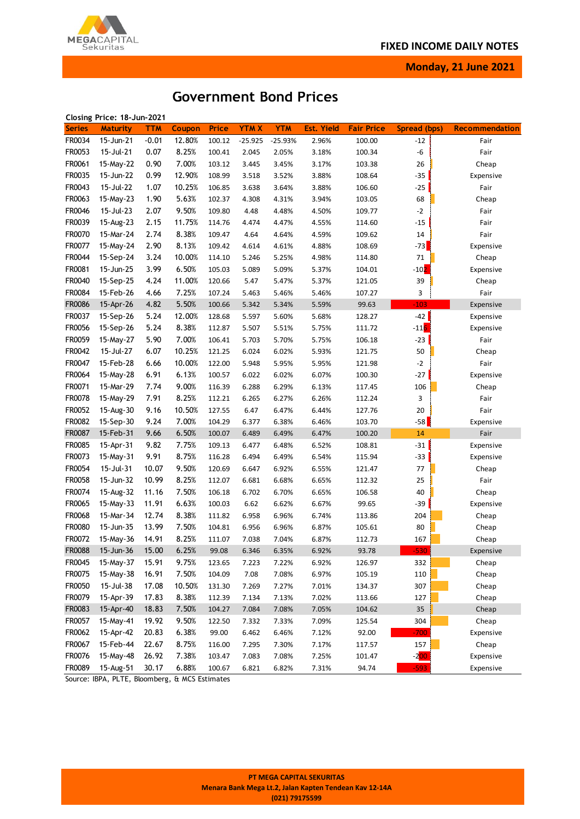

**Monday, 21 June 2021**

# **Government Bond Prices**

|               | Closing Price: 18-Jun-2021 |         |        |                  |             |            |                   |                   |              |                       |
|---------------|----------------------------|---------|--------|------------------|-------------|------------|-------------------|-------------------|--------------|-----------------------|
| <b>Series</b> | <b>Maturity</b>            | TTM     | Coupon | <b>Price</b>     | <b>YTMX</b> | <b>YTM</b> | <b>Est. Yield</b> | <b>Fair Price</b> | Spread (bps) | <b>Recommendation</b> |
| FR0034        | 15-Jun-21                  | $-0.01$ | 12.80% | 100.12           | $-25.925$   | $-25.93%$  | 2.96%             | 100.00            | $-12$        | Fair                  |
| FR0053        | 15-Jul-21                  | 0.07    | 8.25%  | 100.41           | 2.045       | 2.05%      | 3.18%             | 100.34            | -6           | Fair                  |
| FR0061        | 15-May-22                  | 0.90    | 7.00%  | 103.12           | 3.445       | 3.45%      | 3.17%             | 103.38            | 26           | Cheap                 |
| FR0035        | 15-Jun-22                  | 0.99    | 12.90% | 108.99           | 3.518       | 3.52%      | 3.88%             | 108.64            | $-35$        | Expensive             |
| FR0043        | 15-Jul-22                  | 1.07    | 10.25% | 106.85           | 3.638       | 3.64%      | 3.88%             | 106.60            | $-25$        | Fair                  |
| FR0063        | 15-May-23                  | 1.90    | 5.63%  | 102.37           | 4.308       | 4.31%      | 3.94%             | 103.05            | 68           | Cheap                 |
| FR0046        | 15-Jul-23                  | 2.07    | 9.50%  | 109.80           | 4.48        | 4.48%      | 4.50%             | 109.77            | $-2$         | Fair                  |
| FR0039        | 15-Aug-23                  | 2.15    | 11.75% | 114.76           | 4.474       | 4.47%      | 4.55%             | 114.60            | $-15$        | Fair                  |
| FR0070        | 15-Mar-24                  | 2.74    | 8.38%  | 109.47           | 4.64        | 4.64%      | 4.59%             | 109.62            | 14           | Fair                  |
| FR0077        | 15-May-24                  | 2.90    | 8.13%  | 109.42           | 4.614       | 4.61%      | 4.88%             | 108.69            | $-73$        | Expensive             |
| FR0044        | 15-Sep-24                  | 3.24    | 10.00% | 114.10           | 5.246       | 5.25%      | 4.98%             | 114.80            | 71           | Cheap                 |
| FR0081        | 15-Jun-25                  | 3.99    | 6.50%  | 105.03           | 5.089       | 5.09%      | 5.37%             | 104.01            | $-101$       | Expensive             |
| FR0040        | 15-Sep-25                  | 4.24    | 11.00% | 120.66           | 5.47        | 5.47%      | 5.37%             | 121.05            | 39           | Cheap                 |
| FR0084        | 15-Feb-26                  | 4.66    | 7.25%  | 107.24           | 5.463       | 5.46%      | 5.46%             | 107.27            | 3            | Fair                  |
| <b>FR0086</b> | 15-Apr-26                  | 4.82    | 5.50%  | 100.66           | 5.342       | 5.34%      | 5.59%             | 99.63             | $-103$       | Expensive             |
| FR0037        | 15-Sep-26                  | 5.24    | 12.00% | 128.68           | 5.597       | 5.60%      | 5.68%             | 128.27            | $-42$        | Expensive             |
| FR0056        | 15-Sep-26                  | 5.24    | 8.38%  | 112.87           | 5.507       | 5.51%      | 5.75%             | 111.72            | $-116$       | Expensive             |
| FR0059        | 15-May-27                  | 5.90    | 7.00%  | 106.41           | 5.703       | 5.70%      | 5.75%             | 106.18            | $-23$        | Fair                  |
| FR0042        | 15-Jul-27                  |         | 10.25% |                  |             |            |                   | 121.75            |              |                       |
| FR0047        | 15-Feb-28                  | 6.07    | 10.00% | 121.25<br>122.00 | 6.024       | 6.02%      | 5.93%             | 121.98            | 50<br>$-2$   | Cheap                 |
|               |                            | 6.66    |        |                  | 5.948       | 5.95%      | 5.95%             |                   |              | Fair                  |
| FR0064        | 15-May-28                  | 6.91    | 6.13%  | 100.57           | 6.022       | 6.02%      | 6.07%             | 100.30            | $-27$        | Expensive             |
| FR0071        | 15-Mar-29                  | 7.74    | 9.00%  | 116.39           | 6.288       | 6.29%      | 6.13%             | 117.45            | 106          | Cheap                 |
| FR0078        | 15-May-29                  | 7.91    | 8.25%  | 112.21           | 6.265       | 6.27%      | 6.26%             | 112.24            | 3            | Fair                  |
| FR0052        | 15-Aug-30                  | 9.16    | 10.50% | 127.55           | 6.47        | 6.47%      | 6.44%             | 127.76            | 20           | Fair                  |
| FR0082        | 15-Sep-30                  | 9.24    | 7.00%  | 104.29           | 6.377       | 6.38%      | 6.46%             | 103.70            | $-58$        | Expensive             |
| FR0087        | 15-Feb-31                  | 9.66    | 6.50%  | 100.07           | 6.489       | 6.49%      | 6.47%             | 100.20            | 14           | Fair                  |
| FR0085        | 15-Apr-31                  | 9.82    | 7.75%  | 109.13           | 6.477       | 6.48%      | 6.52%             | 108.81            | $-31$        | Expensive             |
| FR0073        | 15-May-31                  | 9.91    | 8.75%  | 116.28           | 6.494       | 6.49%      | 6.54%             | 115.94            | -33          | Expensive             |
| FR0054        | 15-Jul-31                  | 10.07   | 9.50%  | 120.69           | 6.647       | 6.92%      | 6.55%             | 121.47            | 77           | Cheap                 |
| FR0058        | 15-Jun-32                  | 10.99   | 8.25%  | 112.07           | 6.681       | 6.68%      | 6.65%             | 112.32            | 25           | Fair                  |
| FR0074        | 15-Aug-32                  | 11.16   | 7.50%  | 106.18           | 6.702       | 6.70%      | 6.65%             | 106.58            | 40           | Cheap                 |
| FR0065        | 15-May-33                  | 11.91   | 6.63%  | 100.03           | 6.62        | 6.62%      | 6.67%             | 99.65             | $-39$        | Expensive             |
| FR0068        | 15-Mar-34                  | 12.74   | 8.38%  | 111.82           | 6.958       | 6.96%      | 6.74%             | 113.86            | 204          | Cheap                 |
| FR0080        | 15-Jun-35                  | 13.99   | 7.50%  | 104.81           | 6.956       | 6.96%      | 6.87%             | 105.61            | 80           | Cheap                 |
| FR0072        | 15-May-36                  | 14.91   | 8.25%  | 111.07           | 7.038       | 7.04%      | 6.87%             | 112.73            | 167          | Cheap                 |
| FR0088        | 15-Jun-36                  | 15.00   | 6.25%  | 99.08            | 6.346       | 6.35%      | 6.92%             | 93.78             | 530          | Expensive             |
| FR0045        | 15-May-37                  | 15.91   | 9.75%  | 123.65           | 7.223       | 7.22%      | 6.92%             | 126.97            | 332          | Cheap                 |
| FR0075        | 15-May-38                  | 16.91   | 7.50%  | 104.09           | 7.08        | 7.08%      | 6.97%             | 105.19            | 110          | Cheap                 |
| FR0050        | 15-Jul-38                  | 17.08   | 10.50% | 131.30           | 7.269       | 7.27%      | 7.01%             | 134.37            | 307          | Cheap                 |
| FR0079        | 15-Apr-39                  | 17.83   | 8.38%  | 112.39           | 7.134       | 7.13%      | 7.02%             | 113.66            | 127          | Cheap                 |
| FR0083        | 15-Apr-40                  | 18.83   | 7.50%  | 104.27           | 7.084       | 7.08%      | 7.05%             | 104.62            | 35           | Cheap                 |
| FR0057        | 15-May-41                  | 19.92   | 9.50%  | 122.50           | 7.332       | 7.33%      | 7.09%             | 125.54            | 304          | Cheap                 |
| FR0062        | 15-Apr-42                  | 20.83   | 6.38%  | 99.00            | 6.462       | 6.46%      | 7.12%             | 92.00             | $-700$       | Expensive             |
| FR0067        | 15-Feb-44                  | 22.67   | 8.75%  | 116.00           | 7.295       | 7.30%      | 7.17%             | 117.57            | 157          | Cheap                 |
| FR0076        | 15-May-48                  | 26.92   | 7.38%  | 103.47           | 7.083       | 7.08%      | 7.25%             | 101.47            | $-200$       | Expensive             |
| FR0089        | 15-Aug-51                  | 30.17   | 6.88%  | 100.67           | 6.821       | 6.82%      | 7.31%             | 94.74             | $-593$       | Expensive             |

Source: IBPA, PLTE, Bloomberg, & MCS Estimates